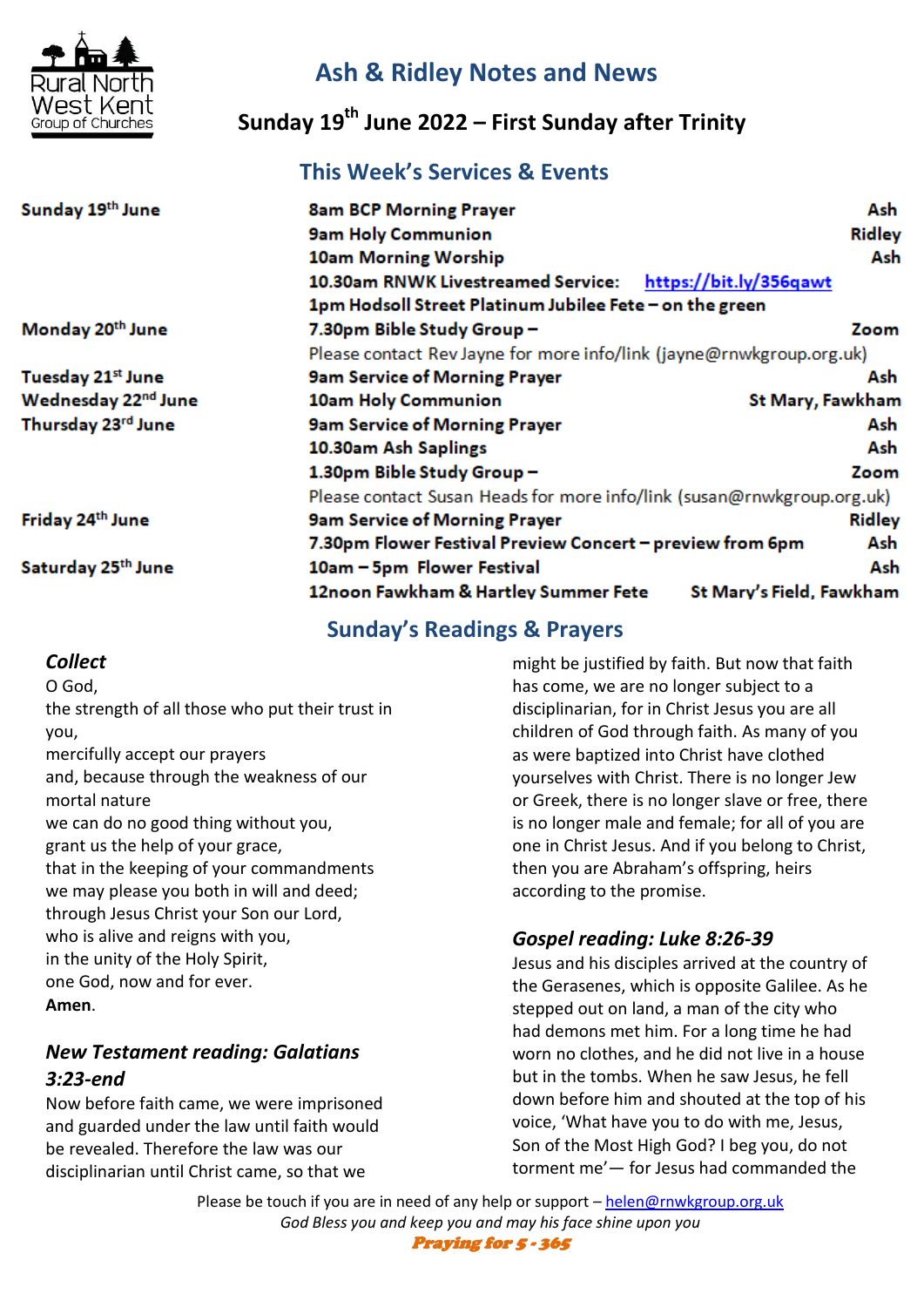

# **Ash & Ridley Notes and News**

 **Sunday 19 th June 2022 – First Sunday after Trinity**

## **This Week's Services & Events**

| Sunday 19th June                | <b>8am BCP Morning Prayer</b>                                          | Ash                      |
|---------------------------------|------------------------------------------------------------------------|--------------------------|
|                                 | <b>9am Holy Communion</b>                                              | <b>Ridley</b>            |
|                                 | <b>10am Morning Worship</b>                                            | Ash                      |
|                                 | 10.30am RNWK Livestreamed Service:                                     | https://bit.ly/356qawt   |
|                                 | 1pm Hodsoll Street Platinum Jubilee Fete - on the green                |                          |
| Monday 20 <sup>th</sup> June    | 7.30pm Bible Study Group -                                             | Zoom                     |
|                                 | Please contact Rev Jayne for more info/link (jayne@rnwkgroup.org.uk)   |                          |
| Tuesday 21st June               | <b>9am Service of Morning Prayer</b>                                   | Ash                      |
| Wednesday 22 <sup>nd</sup> June | <b>10am Holy Communion</b>                                             | St Mary, Fawkham         |
| Thursday 23rd June              | <b>9am Service of Morning Prayer</b>                                   | Ash                      |
|                                 | 10.30am Ash Saplings                                                   | Ash                      |
|                                 | 1.30pm Bible Study Group -                                             | Zoom                     |
|                                 | Please contact Susan Heads for more info/link (susan@rnwkgroup.org.uk) |                          |
| Friday 24th June                | <b>9am Service of Morning Prayer</b>                                   | <b>Ridley</b>            |
|                                 | 7.30pm Flower Festival Preview Concert – preview from 6pm<br>Ash       |                          |
| Saturday 25th June              | 10am - 5pm Flower Festival                                             | Ash                      |
|                                 | 12noon Fawkham & Hartley Summer Fete                                   | St Mary's Field, Fawkham |

## **Sunday's Readings & Prayers**

### *Collect*

O God, the strength of all those who put their trust in you, mercifully accept our prayers and, because through the weakness of our mortal nature we can do no good thing without you, grant us the help of your grace, that in the keeping of your commandments we may please you both in will and deed; through Jesus Christ your Son our Lord, who is alive and reigns with you, in the unity of the Holy Spirit, one God, now and for ever. **Amen**.

### *New Testament reading: Galatians 3:23-end*

Now before faith came, we were imprisoned and guarded under the law until faith would be revealed. Therefore the law was our disciplinarian until Christ came, so that we

might be justified by faith. But now that faith has come, we are no longer subject to a disciplinarian, for in Christ Jesus you are all children of God through faith. As many of you as were baptized into Christ have clothed yourselves with Christ. There is no longer Jew or Greek, there is no longer slave or free, there is no longer male and female; for all of you are one in Christ Jesus. And if you belong to Christ, then you are Abraham's offspring, heirs according to the promise.

### *Gospel reading: Luke 8:26-39*

Jesus and his disciples arrived at the country of the Gerasenes, which is opposite Galilee. As he stepped out on land, a man of the city who had demons met him. For a long time he had worn no clothes, and he did not live in a house but in the tombs. When he saw Jesus, he fell down before him and shouted at the top of his voice, 'What have you to do with me, Jesus, Son of the Most High God? I beg you, do not torment me'— for Jesus had commanded the

Please be touch if you are in need of any help or support  $-\text{helen@rnwkgroup.org.uk}$  $-\text{helen@rnwkgroup.org.uk}$  $-\text{helen@rnwkgroup.org.uk}$ *God Bless you and keep you and may his face shine upon you* Praying for 5 - 365